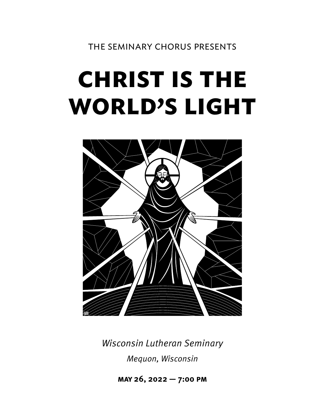# **christ is the world's light**



Wisconsin Lutheran Seminary Mequon, Wisconsin

**may 26, 2022 — 7:00 pm**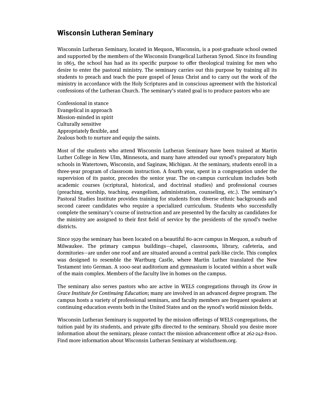# **Wisconsin Lutheran Seminary**

Wisconsin Lutheran Seminary, located in Mequon, Wisconsin, is a post-graduate school owned and supported by the members of the Wisconsin Evangelical Lutheran Synod. Since its founding in 1863, the school has had as its specific purpose to offer theological training for men who desire to enter the pastoral ministry. The seminary carries out this purpose by training all its students to preach and teach the pure gospel of Jesus Christ and to carry out the work of the ministry in accordance with the Holy Scriptures and in conscious agreement with the historical confessions of the Lutheran Church. The seminary's stated goal is to produce pastors who are

Confessional in stance Evangelical in approach Mission-minded in spirit Culturally sensitive Appropriately flexible, and Zealous both to nurture and equip the saints.

Most of the students who attend Wisconsin Lutheran Seminary have been trained at Martin Luther College in New Ulm, Minnesota, and many have attended our synod's preparatory high schools in Watertown, Wisconsin, and Saginaw, Michigan. At the seminary, students enroll in a three-year program of classroom instruction. A fourth year, spent in a congregation under the supervision of its pastor, precedes the senior year. The on-campus curriculum includes both academic courses (scriptural, historical, and doctrinal studies) and professional courses (preaching, worship, teaching, evangelism, administration, counseling, etc.). The seminary's Pastoral Studies Institute provides training for students from diverse ethnic backgrounds and second career candidates who require a specialized curriculum. Students who successfully complete the seminary's course of instruction and are presented by the faculty as candidates for the ministry are assigned to their first field of service by the presidents of the synod's twelve districts. This year 86 students are attending classes on campus; 26 are serving as vicars.

Since 1929 the seminary has been located on a beautiful 80-acre campus in Mequon, a suburb of Milwaukee. The primary campus buildings—chapel, classrooms, library, cafeteria, and dormitories—are under one roof and are situated around a central park-like circle. This complex was designed to resemble the Wartburg Castle, where Martin Luther translated the New Testament into German. A 1000-seat auditorium and gymnasium is located within a short walk of the main complex. Members of the faculty live in homes on the campus.

The seminary also serves pastors who are active in WELS congregations through its *Grow in Grace Institute for Continuing Education*; many are involved in an advanced degree program. The campus hosts a variety of professional seminars, and faculty members are frequent speakers at continuing education events both in the United States and on the synod's world mission fields.

Wisconsin Lutheran Seminary is supported by the mission offerings of WELS congregations, the tuition paid by its students, and private gifts directed to the seminary. Should you desire more information about the seminary, please contact the mission advancement office at 262-242-8100. Find more information about Wisconsin Lutheran Seminary at wisluthsem.org.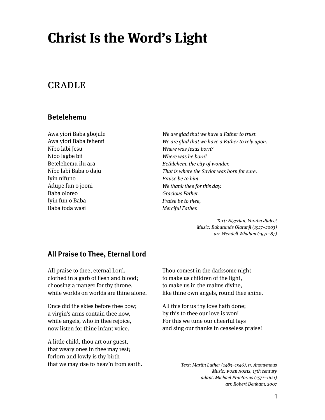# **Christ Is the Word's Light**

# **CRADLE**

# **Betelehemu**

Awa yiori Baba gbojule Awa yiori Baba fehenti Nibo labi Jesu Nibo lagbe bii Betelehemu ilu ara Nibe labi Baba o daju Iyin nifuno Adupe fun o jooni Baba oloreo Iyin fun o Baba Baba toda wasi

*We are glad that we have a Father to trust. We are glad that we have a Father to rely upon. Where was Jesus born? Where was he born? Bethlehem, the city of wonder. That is where the Savior was born for sure. Praise be to him. We thank thee for this day. Gracious Father. Praise be to thee, Merciful Father.*

> *Text: Nigerian, Yoruba dialect Music: Babatunde Olatunji (1927–2003) arr. Wendell Whalum (1931–87)*

# **All Praise to Thee, Eternal Lord**

All praise to thee, eternal Lord, clothed in a garb of flesh and blood; choosing a manger for thy throne, while worlds on worlds are thine alone.

Once did the skies before thee bow; a virgin's arms contain thee now, while angels, who in thee rejoice, now listen for thine infant voice.

A little child, thou art our guest, that weary ones in thee may rest; forlorn and lowly is thy birth that we may rise to heav'n from earth. Thou comest in the darksome night to make us children of the light, to make us in the realms divine, like thine own angels, round thee shine.

All this for us thy love hath done; by this to thee our love is won! For this we tune our cheerful lays and sing our thanks in ceaseless praise!

> *Text: Martin Luther (1483–1546), tr. Anonymous Music: puer nobis, 15th century adapt. Michael Praetorius (1571–1621) arr. Robert Denham, 2007*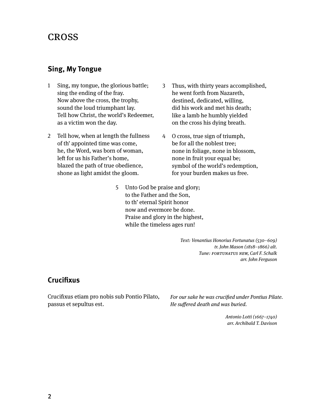# **CROSS**

# **Sing, My Tongue**

- 1 Sing, my tongue, the glorious battle; sing the ending of the fray. Now above the cross, the trophy, sound the loud triumphant lay. Tell how Christ, the world's Redeemer, as a victim won the day.
- 2 Tell how, when at length the fullness of th' appointed time was come, he, the Word, was born of woman, left for us his Father's home, blazed the path of true obedience, shone as light amidst the gloom.
- 3 Thus, with thirty years accomplished, he went forth from Nazareth, destined, dedicated, willing, did his work and met his death; like a lamb he humbly yielded on the cross his dying breath.
- 4 O cross, true sign of triumph, be for all the noblest tree; none in foliage, none in blossom, none in fruit your equal be; symbol of the world's redemption, for your burden makes us free.
- 5 Unto God be praise and glory; to the Father and the Son, to th' eternal Spirit honor now and evermore be done. Praise and glory in the highest, while the timeless ages run!

*Text: Venantius Honorius Fortunatus (530–609) tr. John Mason (1818–1866) alt. Tune: fortunatus new, Carl F. Schalk arr. John Ferguson*

# **Crucifixus**

Crucifixus etiam pro nobis sub Pontio Pilato, passus et sepultus est.

*For our sake he was crucified under Pontius Pilate. He suffered death and was buried.*

> *Antonio Lotti (1667–1740) arr. Archibald T. Davison*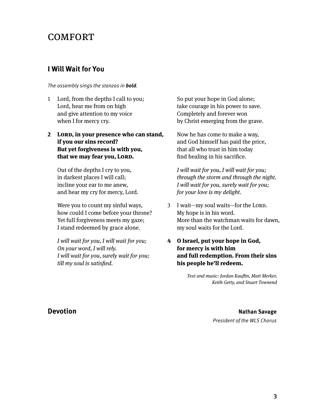# **COMFORT**

### **I Will Wait for You**

### The assembly sings the stanzas in **bold**.

- 1 Lord, from the depths I call to you; Lord, hear me from on high and give attention to my voice when I for mercy cry.
- **2 Lord, in your presence who can stand, if you our sins record? But yet forgiveness is with you, that we may fear you, LORD.**

Out of the depths I cry to you, in darkest places I will call; incline your ear to me anew, and hear my cry for mercy, Lord.

Were you to count my sinful ways, how could I come before your throne? Yet full forgiveness meets my gaze; I stand redeemed by grace alone.

*I will wait for you, I will wait for you; On your word, I will rely. I will wait for you, surely wait for you; till my soul is satisfied.*

So put your hope in God alone; take courage in his power to save. Completely and forever won by Christ emerging from the grave.

Now he has come to make a way, and God himself has paid the price, that all who trust in him today find healing in his sacrifice.

*I will wait for you, I will wait for you; through the storm and through the night. I will wait for you, surely wait for you; for your love is my delight.*

- 3 I wait—my soul waits—for the LORD. My hope is in his word. More than the watchman waits for dawn, my soul waits for the Lord.
- **4 O Israel, put your hope in God, for mercy is with him and full redemption. From their sins his people he'll redeem.**

*Text and music: Jordan Kauflin, Matt Merker, Keith Getty, and Stuart Townend*

**Devotion Nathan Savage** President of the WLS Chorus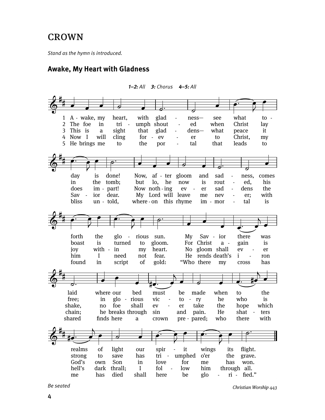# **CROWN**

Stand as the hymn is introduced.

# **Awake, My Heart with Gladness**

1 A - wake, my heart, with glad  $ness$ what see to 2 The foe umph shout ed when Christ in tri lay 3 This is sight that glad denswhat  $\mathbf a$ peace it 4 Now I will cling for - ev er to Christ, my tal 5 He brings me the that leads to por to done! Now, af - ter gloom day is and sad ness, comes in the tomb: but  $\log$ , he now is rout ed, his does im - part! Now noth - ing ev er sad dens the Sav ior dear. My Lord will leave me nev er; with where - on this rhyme bliss un - told, im tal is mor forth the  $g$ lo rious sun. My Sav - ior there was gloom. For Christ boast is turned to  $a$ is gain with in heart. No gloom shall joy my ev er He rends death's him  $\bf{I}$ need not fear.  $\mathbf{i}$ ron found "Who there in script of gold: my cross has laid where our bed must be made when to the glo - rious  $- ry$ who free; vic he in to is shake,  $no$ foe shall  $ev$ er take the hope which he breaks through chain; sin and pain. He shat ters  $\sim$ shared finds here pre - pared; who there with a crown realms of light our spir  $\omega_{\rm{eff}}$ it wings its flight. umphed strong to save has tri o'er the grave. God's Son in love for me has won. own hell's dark thrall; fol  $low$ him through all.  $\mathbf{I}$ has died glo ri - fied." me shall here be

1-2: All 3: Chorus 4-5: All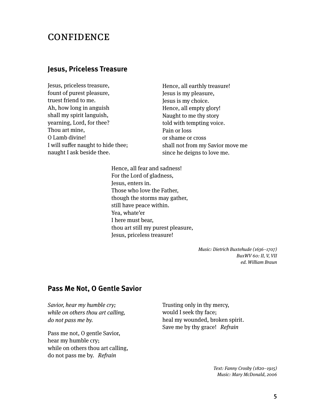# **CONFIDENCE**

## **Jesus, Priceless Treasure**

| Jesus, priceless treasure,         |
|------------------------------------|
| fount of purest pleasure,          |
| truest friend to me.               |
| Ah, how long in anguish            |
| shall my spirit languish,          |
| yearning, Lord, for thee?          |
| Thou art mine,                     |
| O Lamb divine!                     |
| I will suffer naught to hide thee; |
| naught I ask beside thee.          |

Hence, all earthly treasure! Jesus is my pleasure, Jesus is my choice. Hence, all empty glory! Naught to me thy story told with tempting voice. Pain or loss or shame or cross shall not from my Savior move me since he deigns to love me.

Hence, all fear and sadness! For the Lord of gladness, Jesus, enters in. Those who love the Father, though the storms may gather, still have peace within. Yea, whate'er I here must bear, thou art still my purest pleasure, Jesus, priceless treasure!

> *Music: Dietrich Buxtehude (1636–1707) BuxWV 60: II, V, VII ed. William Braun*

### **Pass Me Not, O Gentle Savior**

*Savior, hear my humble cry; while on others thou art calling, do not pass me by.*

Pass me not, O gentle Savior, hear my humble cry; while on others thou art calling, do not pass me by. *Refrain*

Trusting only in thy mercy, would I seek thy face; heal my wounded, broken spirit. Save me by thy grace! *Refrain*

> *Text: Fanny Crosby (1820–1915) Music: Mary McDonald, 2006*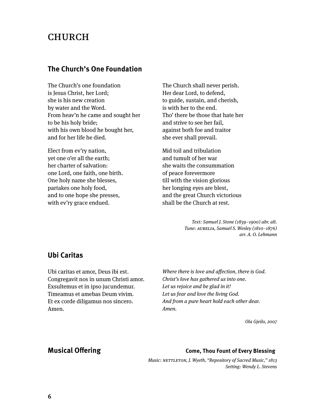# **CHURCH**

### **The Church's One Foundation**

The Church's one foundation is Jesus Christ, her Lord; she is his new creation by water and the Word. From heav'n he came and sought her to be his holy bride; with his own blood he bought her, and for her life he died.

Elect from ev'ry nation, yet one o'er all the earth; her charter of salvation: one Lord, one faith, one birth. One holy name she blesses, partakes one holy food, and to one hope she presses, with ev'ry grace endued.

The Church shall never perish. Her dear Lord, to defend, to guide, sustain, and cherish, is with her to the end. Tho' there be those that hate her and strive to see her fail, against both foe and traitor she ever shall prevail.

Mid toil and tribulation and tumult of her war she waits the consummation of peace forevermore till with the vision glorious her longing eyes are blest, and the great Church victorious shall be the Church at rest.

> *Text: Samuel J. Stone (1839–1900) abr. alt. Tune: aurelia, Samuel S. Wesley (1810–1876) arr. A. O. Lehmann*

### **Ubi Caritas**

Ubi caritas et amor, Deus ibi est. Congregavit nos in unum Christi amor. Exsultemus et in ipso jucundemur. Timeamus et amebas Deum vivim. Et ex corde diligamus nos sincero. Amen.

*Where there is love and affection, there is God. Christ's love has gathered us into one. Let us rejoice and be glad in it! Let us fear and love the living God. And from a pure heart hold each other dear. Amen.*

*Ola Gjeilo, 2007*

### **Musical Offering Come, Thou Fount of Every Blessing**

*Music: NETTLETON, J. Wyeth, "Repository of Sacred Music," 1813 Setting: Wendy L. Stevens*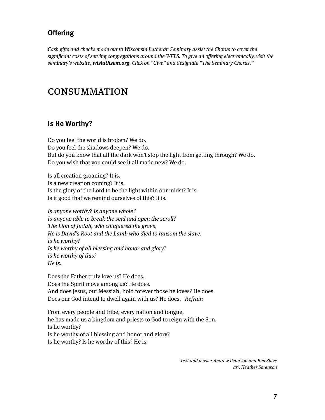# **Offering**

*Cash gifts and checks made out to Wisconsin Lutheran Seminary assist the Chorus to cover the significant costs of serving congregations around the WELS. To give an offering electronically, visit the seminary's website, wisluthsem.org. Click on "Give" and designate "The Seminary Chorus."*

# consummation

# **Is He Worthy?**

Do you feel the world is broken? We do. Do you feel the shadows deepen? We do. But do you know that all the dark won't stop the light from getting through? We do. Do you wish that you could see it all made new? We do.

Is all creation groaning? It is. Is a new creation coming? It is. Is the glory of the Lord to be the light within our midst? It is. Is it good that we remind ourselves of this? It is.

*Is anyone worthy? Is anyone whole? Is anyone able to break the seal and open the scroll? The Lion of Judah, who conquered the grave, He is David's Root and the Lamb who died to ransom the slave. Is he worthy? Is he worthy of all blessing and honor and glory? Is he worthy of this? He is.*

Does the Father truly love us? He does. Does the Spirit move among us? He does. And does Jesus, our Messiah, hold forever those he loves? He does. Does our God intend to dwell again with us? He does. *Refrain*

From every people and tribe, every nation and tongue, he has made us a kingdom and priests to God to reign with the Son. Is he worthy? Is he worthy of all blessing and honor and glory? Is he worthy? Is he worthy of this? He is.

> *Text and music: Andrew Peterson and Ben Shive arr. Heather Sorenson*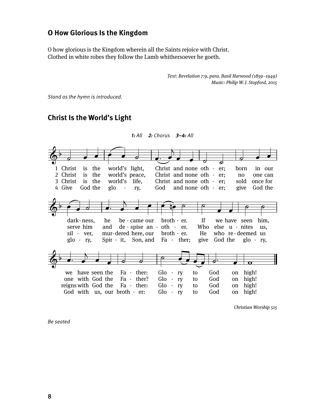# **O How Glorious Is the Kingdom**

O how glorious is the Kingdom wherein all the Saints rejoice with Christ. Clothed in white robes they follow the Lamb whithersoever he goeth.

> Text: Revelation 7:9, para. Basil Harwood (1859-1949) Music: Philip W. J. Stopford, 2015

Stand as the hymn is introduced.

# **Christ Is the World's Light**

1 Christ is the world's light. Christ and none oth born er: in our 2 Christ the Christ and none oth - er: is world's peace, no one can is the world's life, Christ and none oth - er; once for 3 Christ sold 4 Give God the God and none oth - er; give God the glo  $\sim$ ry, dark-ness, he be - came our broth - er. If we have seen him, serve him and de - spise an - oth - er. Who else u - nites us, mur-dered here, our broth - er. who re-deemed us sil - ver, He glo - ry, Spir - it, Son, and Fa - ther; give God the  $g$ lo - ry, we have seen the Fa - ther:  $Glo$  -  $rv$ God on high! to Glo - ry one with God the Fa - ther? God high! to on reigns with God the Fa - ther:  $Glo -$ God high! ry to on God with us, our broth - er: Glo - ry to God on high!

Christian Worship 515

**Be seated** 

1: All  $2:$  Chorus  $3-4:$  All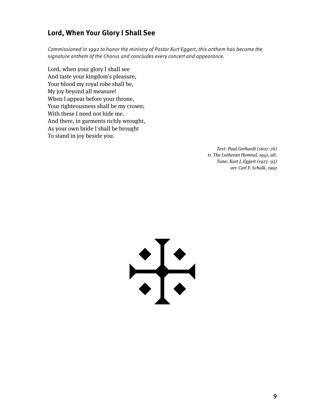# **Lord, When Your Glory I Shall See**

Commissioned in 1992 to honor the ministry of Pastor Kurt Eggert, this anthem has become the signature anthem of the Chorus and concludes every concert and appearance.

Lord, when your glory I shall see And taste your kingdom's pleasure, Your blood my royal robe shall be, My joy beyond all measure! When I appear before your throne, Your righteousness shall be my crown; With these I need not hide me. And there, in garments richly wrought, As your own bride I shall be brought To stand in joy beside you.

> *Text: Paul Gerhardt (1607–76) tr. The Lutheran Hymnal, 1941, alt. Tune: Kurt J, Eggert (1923–93) arr. Carl F. Schalk, 1992*

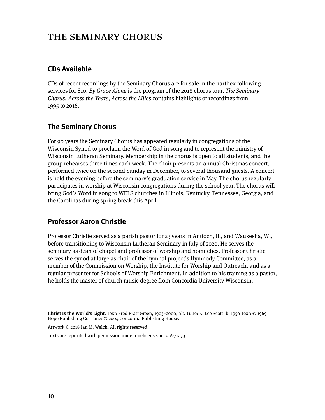# the seminary chorus

# **CDs Available**

CDs of recent recordings by the Seminary Chorus are for sale in the narthex following services for \$10. *By Grace Alone* is the program of the 2018 chorus tour. *The Seminary Chorus: Across the Years, Across the Miles* contains highlights of recordings from 1995 to 2016.

# **The Seminary Chorus**

For 90 years the Seminary Chorus has appeared regularly in congregations of the Wisconsin Synod to proclaim the Word of God in song and to represent the ministry of Wisconsin Lutheran Seminary. Membership in the chorus is open to all students, and the group rehearses three times each week. The choir presents an annual Christmas concert, performed twice on the second Sunday in December, to several thousand guests. A concert is held the evening before the seminary's graduation service in May. The chorus regularly participates in worship at Wisconsin congregations during the school year. The chorus will bring God's Word in song to WELS churches in Illinois, Kentucky, Tennessee, Georgia, and the Carolinas during spring break this April.

# **Professor Aaron Christie**

Professor Christie served as a parish pastor for 23 years in Antioch, IL, and Waukesha, WI, before transitioning to Wisconsin Lutheran Seminary in July of 2020. He serves the seminary as dean of chapel and professor of worship and homiletics. Professor Christie serves the synod at large as chair of the hymnal project's Hymnody Committee, as a member of the Commission on Worship, the Institute for Worship and Outreach, and as a regular presenter for Schools of Worship Enrichment. In addition to his training as a pastor, he holds the master of church music degree from Concordia University Wisconsin.

**Christ Is the World's Light**. Text: Fred Pratt Green, 1903–2000, alt. Tune: K. Lee Scott, b. 1950 Text: © 1969 Hope Publishing Co. Tune: © 2004 Concordia Publishing House.

Artwork © 2018 Ian M. Welch. All rights reserved.

Texts are reprinted with permission under onelicense.net # A-71473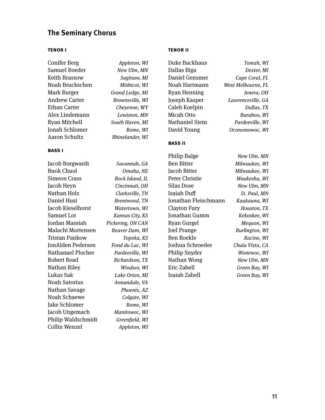## **The Seminary Chorus**

### **tenor i**

Conifer Berg *Appleton, WI* Samuel Boeder *New Ulm, MN* Keith Brassow *Saginaw, MI* Noah Bruckschen *Mishicot, WI* Mark Burger *Grand Ledge, MI* Andrew Carter *Brownsville, WI* Ethan Carter *Cheyenne, WY* Alex Lindemann *Lewiston, MN* Ryan Mitchell *South Haven, MI* Jonah Schlomer *Rome, WI* Aaron Schultz *Rhinelander, WI*

### **bass i**

Buok Chuol *Omaha, NE* Simeon Crass *Rock Island, IL* Jacob Heyn *Cincinnati, OH* Nathan Holz *Clarksville, TN* Daniel Husi *Brentwood, TN* Jacob Kieselhorst *Watertown, WI* Samuel Lor *Kansas City, KS* Jordan Massiah *Pickering, ON CAN* Malachi Mortensen *Beaver Dam, WI* Tristan Pankow *Topeka, KS* JonAlden Pedersen *Fond du Lac, WI* Nathanael Plocher *Pardeeville, WI* Robert Read *Richardson, TX* Nathan Riley *Windsor, WI* Lukas Sak *Lake Orion, MI* Noah Satorius *Annandale, VA* Nathan Savage *Phoenix, AZ* Noah Schaewe *Colgate, WI* Jake Schlomer *Rome, WI* Jacob Ungemach *Manitowoc, WI* Philip Waldschmidt *Greenfield, WI* Collin Wenzel *Appleton, WI*

Jacob Borgwardt *Savannah, GA*

### **tenor ii**

Duke Backhaus *Tomah, WI*

### **bass ii**

Philip Balge *New Ulm, MN* Ben Bitter *Milwaukee, WI* Jacob Bitter *Milwaukee, WI* Peter Christie *Waukesha, WI* Silas Dose *New Ulm, MN* Isaiah Duff *St. Paul, MN* Jonathan Fleischmann *Kaukauna, WI* Clayton Fury *Houston, TX* Jonathan Gumm *Kekoskee, WI* Ryan Gurgel *Mequon, WI* Joel Prange *Burlington, WI* Ben Roekle *Racine, WI* Joshua Schroeder *Chula Vista, CA* Philip Snyder *Wonewoc, WI* Nathan Wong *New Ulm, MN* Eric Zabell *Green Bay, WI* Isaiah Zabell *Green Bay, WI*

Dallas Biga *Dexter, MI* Daniel Gensmer *Cape Coral, FL* Noah Hartmann *West Melbourne, FL* Ryan Henning *Jenera, OH* Joseph Kasper *Lawrenceville, GA* Caleb Koelpin *Dallas, TX* Micah Otto *Baraboo, WI* Nathaniel Stein *Pardeeville, WI* David Young *Oconomowoc, WI*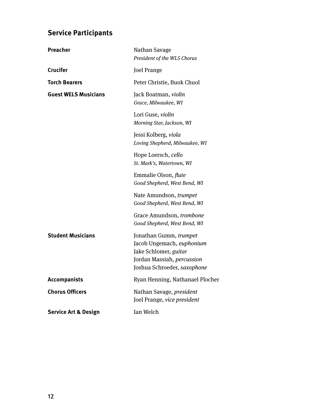# **Service Participants**

| <b>Preacher</b>                 | Nathan Savage<br>President of the WLS Chorus                                                                                              |
|---------------------------------|-------------------------------------------------------------------------------------------------------------------------------------------|
| Crucifer                        | <b>Joel Prange</b>                                                                                                                        |
| <b>Torch Bearers</b>            | Peter Christie, Buok Chuol                                                                                                                |
| <b>Guest WELS Musicians</b>     | Jack Boatman, violin<br>Grace, Milwaukee, WI                                                                                              |
|                                 | Lori Guse, violin<br>Morning Star, Jackson, WI                                                                                            |
|                                 | Jessi Kolberg, viola<br>Loving Shepherd, Milwaukee, WI                                                                                    |
|                                 | Hope Loersch, cello<br>St. Mark's, Watertown, WI                                                                                          |
|                                 | Emmalie Olson, flute<br>Good Shepherd, West Bend, WI                                                                                      |
|                                 | Nate Amundson, trumpet<br>Good Shepherd, West Bend, WI                                                                                    |
|                                 | Grace Amundson, <i>trombone</i><br>Good Shepherd, West Bend, WI                                                                           |
| <b>Student Musicians</b>        | Jonathan Gumm, trumpet<br>Jacob Ungemach, euphonium<br>Jake Schlomer, guitar<br>Jordan Massiah, percussion<br>Joshua Schroeder, saxophone |
| <b>Accompanists</b>             | Ryan Henning, Nathanael Plocher                                                                                                           |
| <b>Chorus Officers</b>          | Nathan Savage, president<br>Joel Prange, vice president                                                                                   |
| <b>Service Art &amp; Design</b> | Ian Welch                                                                                                                                 |